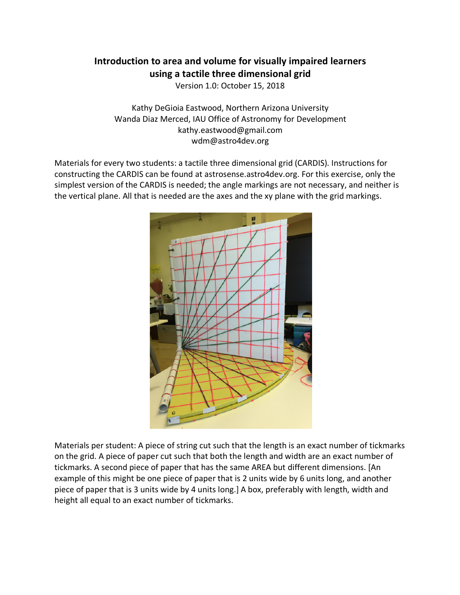# **Introduction to area and volume for visually impaired learners using a tactile three dimensional grid**

Version 1.0: October 15, 2018

Kathy DeGioia Eastwood, Northern Arizona University Wanda Diaz Merced, IAU Office of Astronomy for Development kathy.eastwood@gmail.com wdm@astro4dev.org

Materials for every two students: a tactile three dimensional grid (CARDIS). Instructions for constructing the CARDIS can be found at astrosense.astro4dev.org. For this exercise, only the simplest version of the CARDIS is needed; the angle markings are not necessary, and neither is the vertical plane. All that is needed are the axes and the xy plane with the grid markings.



Materials per student: A piece of string cut such that the length is an exact number of tickmarks on the grid. A piece of paper cut such that both the length and width are an exact number of tickmarks. A second piece of paper that has the same AREA but different dimensions. [An example of this might be one piece of paper that is 2 units wide by 6 units long, and another piece of paper that is 3 units wide by 4 units long.] A box, preferably with length, width and height all equal to an exact number of tickmarks.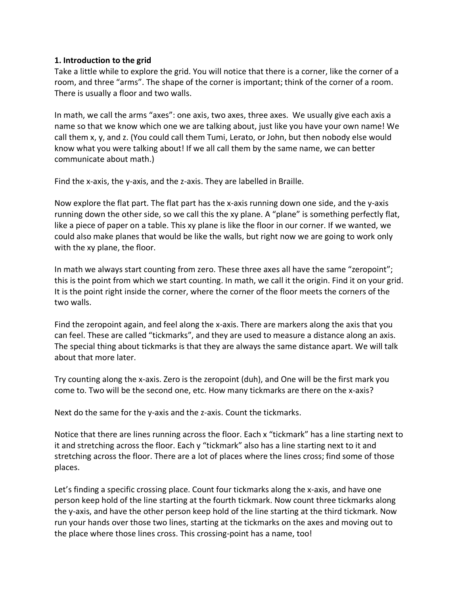#### **1. Introduction to the grid**

Take a little while to explore the grid. You will notice that there is a corner, like the corner of a room, and three "arms". The shape of the corner is important; think of the corner of a room. There is usually a floor and two walls.

In math, we call the arms "axes": one axis, two axes, three axes. We usually give each axis a name so that we know which one we are talking about, just like you have your own name! We call them x, y, and z. (You could call them Tumi, Lerato, or John, but then nobody else would know what you were talking about! If we all call them by the same name, we can better communicate about math.)

Find the x-axis, the y-axis, and the z-axis. They are labelled in Braille.

Now explore the flat part. The flat part has the x-axis running down one side, and the y-axis running down the other side, so we call this the xy plane. A "plane" is something perfectly flat, like a piece of paper on a table. This xy plane is like the floor in our corner. If we wanted, we could also make planes that would be like the walls, but right now we are going to work only with the xy plane, the floor.

In math we always start counting from zero. These three axes all have the same "zeropoint"; this is the point from which we start counting. In math, we call it the origin. Find it on your grid. It is the point right inside the corner, where the corner of the floor meets the corners of the two walls.

Find the zeropoint again, and feel along the x-axis. There are markers along the axis that you can feel. These are called "tickmarks", and they are used to measure a distance along an axis. The special thing about tickmarks is that they are always the same distance apart. We will talk about that more later.

Try counting along the x-axis. Zero is the zeropoint (duh), and One will be the first mark you come to. Two will be the second one, etc. How many tickmarks are there on the x-axis?

Next do the same for the y-axis and the z-axis. Count the tickmarks.

Notice that there are lines running across the floor. Each x "tickmark" has a line starting next to it and stretching across the floor. Each y "tickmark" also has a line starting next to it and stretching across the floor. There are a lot of places where the lines cross; find some of those places.

Let's finding a specific crossing place. Count four tickmarks along the x-axis, and have one person keep hold of the line starting at the fourth tickmark. Now count three tickmarks along the y-axis, and have the other person keep hold of the line starting at the third tickmark. Now run your hands over those two lines, starting at the tickmarks on the axes and moving out to the place where those lines cross. This crossing-point has a name, too!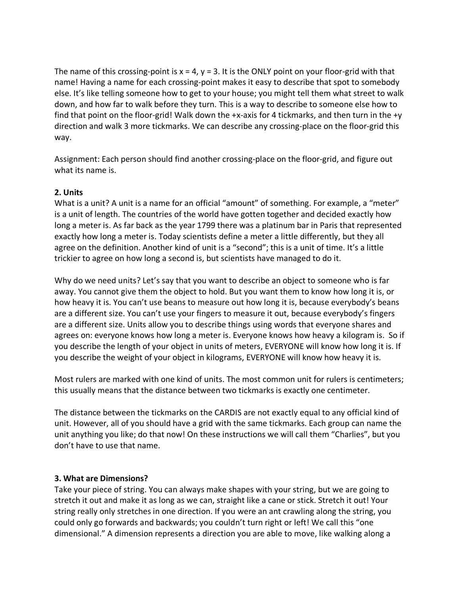The name of this crossing-point is  $x = 4$ ,  $y = 3$ . It is the ONLY point on your floor-grid with that name! Having a name for each crossing-point makes it easy to describe that spot to somebody else. It's like telling someone how to get to your house; you might tell them what street to walk down, and how far to walk before they turn. This is a way to describe to someone else how to find that point on the floor-grid! Walk down the +x-axis for 4 tickmarks, and then turn in the +y direction and walk 3 more tickmarks. We can describe any crossing-place on the floor-grid this way.

Assignment: Each person should find another crossing-place on the floor-grid, and figure out what its name is.

### **2. Units**

What is a unit? A unit is a name for an official "amount" of something. For example, a "meter" is a unit of length. The countries of the world have gotten together and decided exactly how long a meter is. As far back as the year 1799 there was a platinum bar in Paris that represented exactly how long a meter is. Today scientists define a meter a little differently, but they all agree on the definition. Another kind of unit is a "second"; this is a unit of time. It's a little trickier to agree on how long a second is, but scientists have managed to do it.

Why do we need units? Let's say that you want to describe an object to someone who is far away. You cannot give them the object to hold. But you want them to know how long it is, or how heavy it is. You can't use beans to measure out how long it is, because everybody's beans are a different size. You can't use your fingers to measure it out, because everybody's fingers are a different size. Units allow you to describe things using words that everyone shares and agrees on: everyone knows how long a meter is. Everyone knows how heavy a kilogram is. So if you describe the length of your object in units of meters, EVERYONE will know how long it is. If you describe the weight of your object in kilograms, EVERYONE will know how heavy it is.

Most rulers are marked with one kind of units. The most common unit for rulers is centimeters; this usually means that the distance between two tickmarks is exactly one centimeter.

The distance between the tickmarks on the CARDIS are not exactly equal to any official kind of unit. However, all of you should have a grid with the same tickmarks. Each group can name the unit anything you like; do that now! On these instructions we will call them "Charlies", but you don't have to use that name.

#### **3. What are Dimensions?**

Take your piece of string. You can always make shapes with your string, but we are going to stretch it out and make it as long as we can, straight like a cane or stick. Stretch it out! Your string really only stretches in one direction. If you were an ant crawling along the string, you could only go forwards and backwards; you couldn't turn right or left! We call this "one dimensional." A dimension represents a direction you are able to move, like walking along a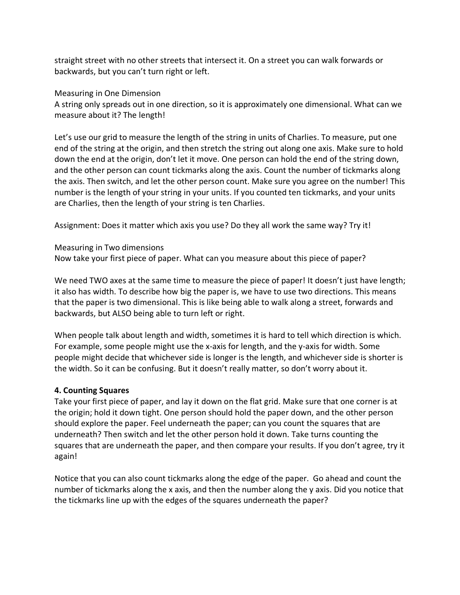straight street with no other streets that intersect it. On a street you can walk forwards or backwards, but you can't turn right or left.

Measuring in One Dimension

A string only spreads out in one direction, so it is approximately one dimensional. What can we measure about it? The length!

Let's use our grid to measure the length of the string in units of Charlies. To measure, put one end of the string at the origin, and then stretch the string out along one axis. Make sure to hold down the end at the origin, don't let it move. One person can hold the end of the string down, and the other person can count tickmarks along the axis. Count the number of tickmarks along the axis. Then switch, and let the other person count. Make sure you agree on the number! This number is the length of your string in your units. If you counted ten tickmarks, and your units are Charlies, then the length of your string is ten Charlies.

Assignment: Does it matter which axis you use? Do they all work the same way? Try it!

Measuring in Two dimensions

Now take your first piece of paper. What can you measure about this piece of paper?

We need TWO axes at the same time to measure the piece of paper! It doesn't just have length; it also has width. To describe how big the paper is, we have to use two directions. This means that the paper is two dimensional. This is like being able to walk along a street, forwards and backwards, but ALSO being able to turn left or right.

When people talk about length and width, sometimes it is hard to tell which direction is which. For example, some people might use the x-axis for length, and the y-axis for width. Some people might decide that whichever side is longer is the length, and whichever side is shorter is the width. So it can be confusing. But it doesn't really matter, so don't worry about it.

## **4. Counting Squares**

Take your first piece of paper, and lay it down on the flat grid. Make sure that one corner is at the origin; hold it down tight. One person should hold the paper down, and the other person should explore the paper. Feel underneath the paper; can you count the squares that are underneath? Then switch and let the other person hold it down. Take turns counting the squares that are underneath the paper, and then compare your results. If you don't agree, try it again!

Notice that you can also count tickmarks along the edge of the paper. Go ahead and count the number of tickmarks along the x axis, and then the number along the y axis. Did you notice that the tickmarks line up with the edges of the squares underneath the paper?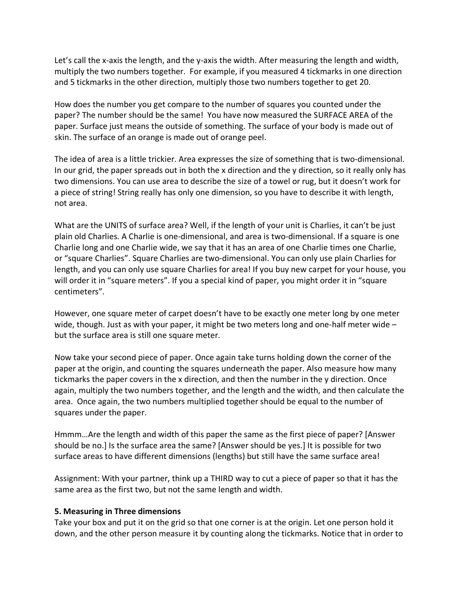Let's call the x-axis the length, and the y-axis the width. After measuring the length and width, multiply the two numbers together. For example, if you measured 4 tickmarks in one direction and 5 tickmarks in the other direction, multiply those two numbers together to get 20.

How does the number you get compare to the number of squares you counted under the paper? The number should be the same! You have now measured the SURFACE AREA of the paper. Surface just means the outside of something. The surface of your body is made out of skin. The surface of an orange is made out of orange peel.

The idea of area is a little trickier. Area expresses the size of something that is two-dimensional. In our grid, the paper spreads out in both the x direction and the y direction, so it really only has two dimensions. You can use area to describe the size of a towel or rug, but it doesn't work for a piece of string! String really has only one dimension, so you have to describe it with length, not area.

What are the UNITS of surface area? Well, if the length of your unit is Charlies, it can't be just plain old Charlies. A Charlie is one-dimensional, and area is two-dimensional. If a square is one Charlie long and one Charlie wide, we say that it has an area of one Charlie times one Charlie, or "square Charlies". Square Charlies are two-dimensional. You can only use plain Charlies for length, and you can only use square Charlies for area! If you buy new carpet for your house, you will order it in "square meters". If you a special kind of paper, you might order it in "square centimeters".

However, one square meter of carpet doesn't have to be exactly one meter long by one meter wide, though. Just as with your paper, it might be two meters long and one-half meter wide  $$ but the surface area is still one square meter.

Now take your second piece of paper. Once again take turns holding down the corner of the paper at the origin, and counting the squares underneath the paper. Also measure how many tickmarks the paper covers in the x direction, and then the number in the y direction. Once again, multiply the two numbers together, and the length and the width, and then calculate the area. Once again, the two numbers multiplied together should be equal to the number of squares under the paper.

Hmmm…Are the length and width of this paper the same as the first piece of paper? [Answer should be no.] Is the surface area the same? [Answer should be yes.] It is possible for two surface areas to have different dimensions (lengths) but still have the same surface area!

Assignment: With your partner, think up a THIRD way to cut a piece of paper so that it has the same area as the first two, but not the same length and width.

#### **5. Measuring in Three dimensions**

Take your box and put it on the grid so that one corner is at the origin. Let one person hold it down, and the other person measure it by counting along the tickmarks. Notice that in order to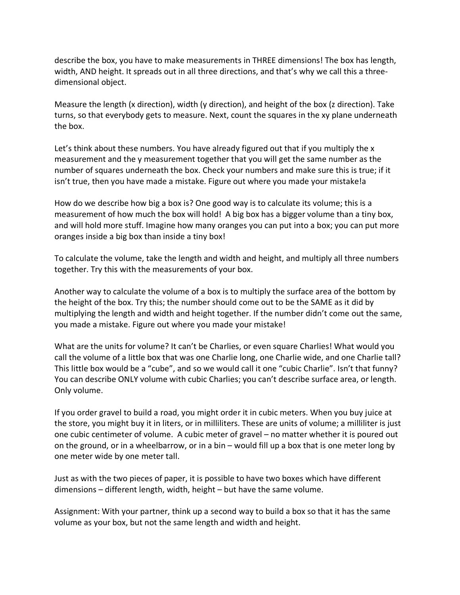describe the box, you have to make measurements in THREE dimensions! The box has length, width, AND height. It spreads out in all three directions, and that's why we call this a threedimensional object.

Measure the length (x direction), width (y direction), and height of the box (z direction). Take turns, so that everybody gets to measure. Next, count the squares in the xy plane underneath the box.

Let's think about these numbers. You have already figured out that if you multiply the x measurement and the y measurement together that you will get the same number as the number of squares underneath the box. Check your numbers and make sure this is true; if it isn't true, then you have made a mistake. Figure out where you made your mistake!a

How do we describe how big a box is? One good way is to calculate its volume; this is a measurement of how much the box will hold! A big box has a bigger volume than a tiny box, and will hold more stuff. Imagine how many oranges you can put into a box; you can put more oranges inside a big box than inside a tiny box!

To calculate the volume, take the length and width and height, and multiply all three numbers together. Try this with the measurements of your box.

Another way to calculate the volume of a box is to multiply the surface area of the bottom by the height of the box. Try this; the number should come out to be the SAME as it did by multiplying the length and width and height together. If the number didn't come out the same, you made a mistake. Figure out where you made your mistake!

What are the units for volume? It can't be Charlies, or even square Charlies! What would you call the volume of a little box that was one Charlie long, one Charlie wide, and one Charlie tall? This little box would be a "cube", and so we would call it one "cubic Charlie". Isn't that funny? You can describe ONLY volume with cubic Charlies; you can't describe surface area, or length. Only volume.

If you order gravel to build a road, you might order it in cubic meters. When you buy juice at the store, you might buy it in liters, or in milliliters. These are units of volume; a milliliter is just one cubic centimeter of volume. A cubic meter of gravel – no matter whether it is poured out on the ground, or in a wheelbarrow, or in a bin – would fill up a box that is one meter long by one meter wide by one meter tall.

Just as with the two pieces of paper, it is possible to have two boxes which have different dimensions – different length, width, height – but have the same volume.

Assignment: With your partner, think up a second way to build a box so that it has the same volume as your box, but not the same length and width and height.